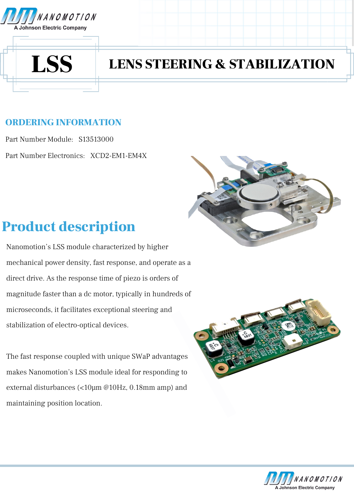



# LSS LENS STEERING & STABILIZATION

### ORDERING INFORMATION

Part Number Module: S13513000 Part Number Electronics: XCD2-EM1-EM4X



## Product description

Nanomotion's LSS module characterized by higher mechanical power density, fast response, and operate as a direct drive. As the response time of piezo is orders of magnitude faster than a dc motor, typically in hundreds of microseconds, it facilitates exceptional steering and stabilization of electro-optical devices.

The fast response coupled with unique SWaP advantages makes Nanomotion's LSS module ideal for responding to external disturbances (<10µm @10Hz, 0.18mm amp) and maintaining position location.